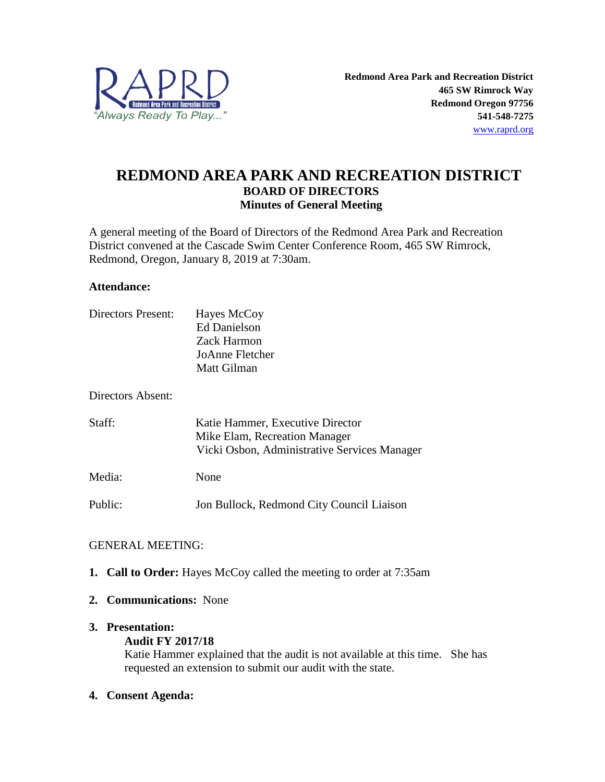

## **REDMOND AREA PARK AND RECREATION DISTRICT BOARD OF DIRECTORS Minutes of General Meeting**

A general meeting of the Board of Directors of the Redmond Area Park and Recreation District convened at the Cascade Swim Center Conference Room, 465 SW Rimrock, Redmond, Oregon, January 8, 2019 at 7:30am.

#### **Attendance:**

| Directors Present: | Hayes McCoy<br><b>Ed Danielson</b><br>Zack Harmon<br>JoAnne Fletcher<br>Matt Gilman                               |
|--------------------|-------------------------------------------------------------------------------------------------------------------|
| Directors Absent:  |                                                                                                                   |
| Staff:             | Katie Hammer, Executive Director<br>Mike Elam, Recreation Manager<br>Vicki Osbon, Administrative Services Manager |
| Media:             | None                                                                                                              |
| Public:            | Jon Bullock, Redmond City Council Liaison                                                                         |

## GENERAL MEETING:

- **1. Call to Order:** Hayes McCoy called the meeting to order at 7:35am
- **2. Communications:** None

#### **3. Presentation:**

#### **Audit FY 2017/18**

Katie Hammer explained that the audit is not available at this time. She has requested an extension to submit our audit with the state.

## **4. Consent Agenda:**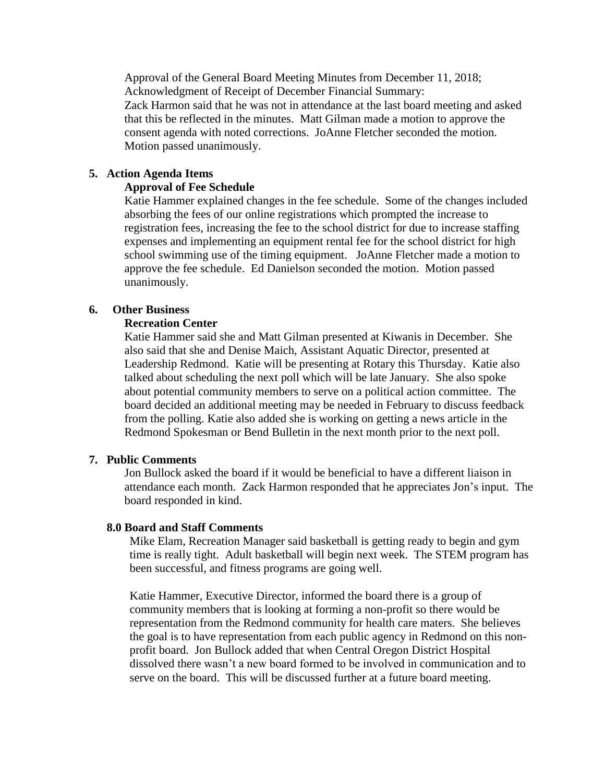Approval of the General Board Meeting Minutes from December 11, 2018; Acknowledgment of Receipt of December Financial Summary: Zack Harmon said that he was not in attendance at the last board meeting and asked that this be reflected in the minutes. Matt Gilman made a motion to approve the consent agenda with noted corrections. JoAnne Fletcher seconded the motion. Motion passed unanimously.

#### **5. Action Agenda Items**

#### **Approval of Fee Schedule**

Katie Hammer explained changes in the fee schedule. Some of the changes included absorbing the fees of our online registrations which prompted the increase to registration fees, increasing the fee to the school district for due to increase staffing expenses and implementing an equipment rental fee for the school district for high school swimming use of the timing equipment. JoAnne Fletcher made a motion to approve the fee schedule. Ed Danielson seconded the motion. Motion passed unanimously.

#### **6. Other Business**

#### **Recreation Center**

Katie Hammer said she and Matt Gilman presented at Kiwanis in December. She also said that she and Denise Maich, Assistant Aquatic Director, presented at Leadership Redmond. Katie will be presenting at Rotary this Thursday. Katie also talked about scheduling the next poll which will be late January. She also spoke about potential community members to serve on a political action committee. The board decided an additional meeting may be needed in February to discuss feedback from the polling. Katie also added she is working on getting a news article in the Redmond Spokesman or Bend Bulletin in the next month prior to the next poll.

#### **7. Public Comments**

Jon Bullock asked the board if it would be beneficial to have a different liaison in attendance each month. Zack Harmon responded that he appreciates Jon's input. The board responded in kind.

#### **8.0 Board and Staff Comments**

Mike Elam, Recreation Manager said basketball is getting ready to begin and gym time is really tight. Adult basketball will begin next week. The STEM program has been successful, and fitness programs are going well.

Katie Hammer, Executive Director, informed the board there is a group of community members that is looking at forming a non-profit so there would be representation from the Redmond community for health care maters. She believes the goal is to have representation from each public agency in Redmond on this nonprofit board. Jon Bullock added that when Central Oregon District Hospital dissolved there wasn't a new board formed to be involved in communication and to serve on the board. This will be discussed further at a future board meeting.